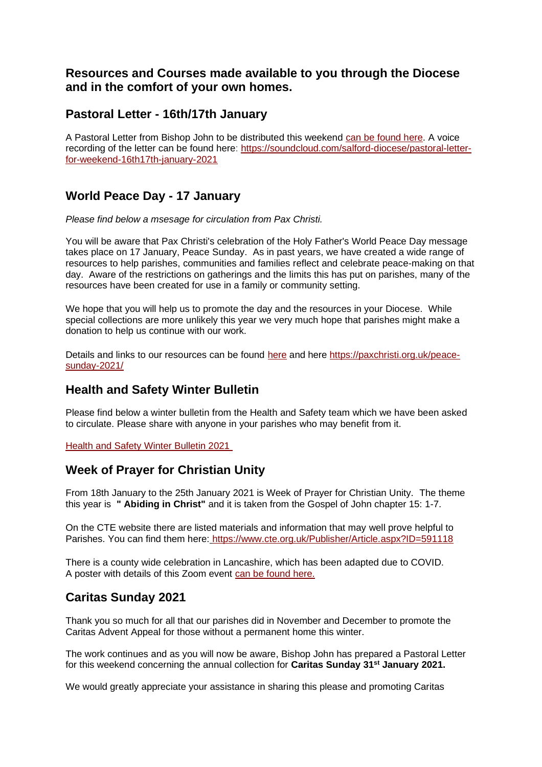## **Resources and Courses made available to you through the Diocese and in the comfort of your own homes.**

## **Pastoral Letter - 16th/17th January**

A Pastoral Letter from Bishop John to be distributed this weekend [can be found here.](https://dioceseofsalford.us6.list-manage.com/track/click?u=76e219dab8653b775ba8aac4c&id=a2812491d4&e=5ce69633f0) A voice recording of the letter can be found here: [https://soundcloud.com/salford-diocese/pastoral-letter](https://dioceseofsalford.us6.list-manage.com/track/click?u=76e219dab8653b775ba8aac4c&id=a8d73ee625&e=5ce69633f0)[for-weekend-16th17th-january-2021](https://dioceseofsalford.us6.list-manage.com/track/click?u=76e219dab8653b775ba8aac4c&id=a8d73ee625&e=5ce69633f0)

# **World Peace Day - 17 January**

*Please find below a msesage for circulation from Pax Christi.*

You will be aware that Pax Christi's celebration of the Holy Father's World Peace Day message takes place on 17 January, Peace Sunday. As in past years, we have created a wide range of resources to help parishes, communities and families reflect and celebrate peace-making on that day. Aware of the restrictions on gatherings and the limits this has put on parishes, many of the resources have been created for use in a family or community setting.

We hope that you will help us to promote the day and the resources in your Diocese. While special collections are more unlikely this year we very much hope that parishes might make a donation to help us continue with our work.

Details and links to our resources can be found [here](https://dioceseofsalford.us6.list-manage.com/track/click?u=76e219dab8653b775ba8aac4c&id=e4d956762c&e=5ce69633f0) and here [https://paxchristi.org.uk/peace](https://dioceseofsalford.us6.list-manage.com/track/click?u=76e219dab8653b775ba8aac4c&id=79145a5918&e=5ce69633f0)[sunday-2021/](https://dioceseofsalford.us6.list-manage.com/track/click?u=76e219dab8653b775ba8aac4c&id=79145a5918&e=5ce69633f0)

# **Health and Safety Winter Bulletin**

Please find below a winter bulletin from the Health and Safety team which we have been asked to circulate. Please share with anyone in your parishes who may benefit from it.

[Health and Safety Winter Bulletin 2021](https://dioceseofsalford.us6.list-manage.com/track/click?u=76e219dab8653b775ba8aac4c&id=eed60aa5db&e=5ce69633f0)

# **Week of Prayer for Christian Unity**

From 18th January to the 25th January 2021 is Week of Prayer for Christian Unity. The theme this year is **" Abiding in Christ"** and it is taken from the Gospel of John chapter 15: 1-7.

On the CTE website there are listed materials and information that may well prove helpful to Parishes. You can find them here: [https://www.cte.org.uk/Publisher/Article.aspx?ID=591118](https://dioceseofsalford.us6.list-manage.com/track/click?u=76e219dab8653b775ba8aac4c&id=e4ad22cde9&e=5ce69633f0)

There is a county wide celebration in Lancashire, which has been adapted due to COVID. A poster with details of this Zoom event [can be found here.](https://dioceseofsalford.us6.list-manage.com/track/click?u=76e219dab8653b775ba8aac4c&id=38061bd689&e=5ce69633f0)

# **Caritas Sunday 2021**

Thank you so much for all that our parishes did in November and December to promote the Caritas Advent Appeal for those without a permanent home this winter.

The work continues and as you will now be aware, Bishop John has prepared a Pastoral Letter for this weekend concerning the annual collection for **Caritas Sunday 31st January 2021.**

We would greatly appreciate your assistance in sharing this please and promoting Caritas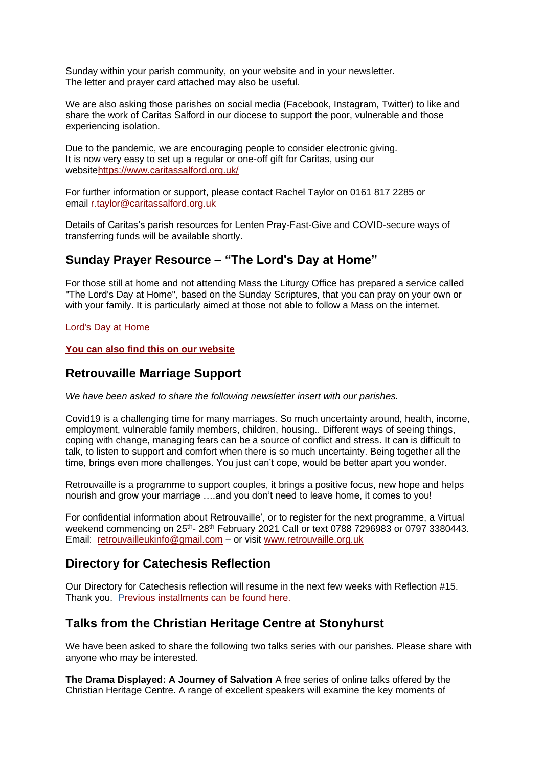Sunday within your parish community, on your website and in your newsletter. The letter and prayer card attached may also be useful.

We are also asking those parishes on social media (Facebook, Instagram, Twitter) to like and share the work of Caritas Salford in our diocese to support the poor, vulnerable and those experiencing isolation.

Due to the pandemic, we are encouraging people to consider electronic giving. It is now very easy to set up a regular or one-off gift for Caritas, using our websit[ehttps://www.caritassalford.org.uk/](https://dioceseofsalford.us6.list-manage.com/track/click?u=76e219dab8653b775ba8aac4c&id=ef17ec64e5&e=5ce69633f0)

For further information or support, please contact Rachel Taylor on 0161 817 2285 or email [r.taylor@caritassalford.org.uk](mailto:r.taylor@caritassalford.org.uk)

Details of Caritas's parish resources for Lenten Pray-Fast-Give and COVID-secure ways of transferring funds will be available shortly.

# **Sunday Prayer Resource – "The Lord's Day at Home"**

For those still at home and not attending Mass the Liturgy Office has prepared a service called "The Lord's Day at Home", based on the Sunday Scriptures, that you can pray on your own or with your family. It is particularly aimed at those not able to follow a Mass on the internet.

### [Lord's Day at Home](https://dioceseofsalford.us6.list-manage.com/track/click?u=76e219dab8653b775ba8aac4c&id=14b3cc5ef2&e=5ce69633f0)

**[You can also find this on our website](https://dioceseofsalford.us6.list-manage.com/track/click?u=76e219dab8653b775ba8aac4c&id=2eada4bf30&e=5ce69633f0)**

## **Retrouvaille Marriage Support**

*We have been asked to share the following newsletter insert with our parishes.*

Covid19 is a challenging time for many marriages. So much uncertainty around, health, income, employment, vulnerable family members, children, housing.. Different ways of seeing things, coping with change, managing fears can be a source of conflict and stress. It can is difficult to talk, to listen to support and comfort when there is so much uncertainty. Being together all the time, brings even more challenges. You just can't cope, would be better apart you wonder.

Retrouvaille is a programme to support couples, it brings a positive focus, new hope and helps nourish and grow your marriage ….and you don't need to leave home, it comes to you!

For confidential information about Retrouvaille', or to register for the next programme, a Virtual weekend commencing on 25<sup>th</sup>- 28<sup>th</sup> February 2021 Call or text 0788 7296983 or 0797 3380443. Email: [retrouvailleukinfo@gmail.com](mailto:retrouvailleukinfo@gmail.com) – or visit [www.retrouvaille.org.uk](https://dioceseofsalford.us6.list-manage.com/track/click?u=76e219dab8653b775ba8aac4c&id=c3a544f1ca&e=5ce69633f0)

# **Directory for Catechesis Reflection**

Our Directory for Catechesis reflection will resume in the next few weeks with Reflection #15. Thank you. [P](https://dioceseofsalford.us6.list-manage.com/track/click?u=76e219dab8653b775ba8aac4c&id=34d0b1804c&e=5ce69633f0)[revious installments can be found here.](https://dioceseofsalford.us6.list-manage.com/track/click?u=76e219dab8653b775ba8aac4c&id=51bfbf669c&e=5ce69633f0) 

## **Talks from the Christian Heritage Centre at Stonyhurst**

We have been asked to share the following two talks series with our parishes. Please share with anyone who may be interested.

**The Drama Displayed: A Journey of Salvation** A free series of online talks offered by the Christian Heritage Centre. A range of excellent speakers will examine the key moments of